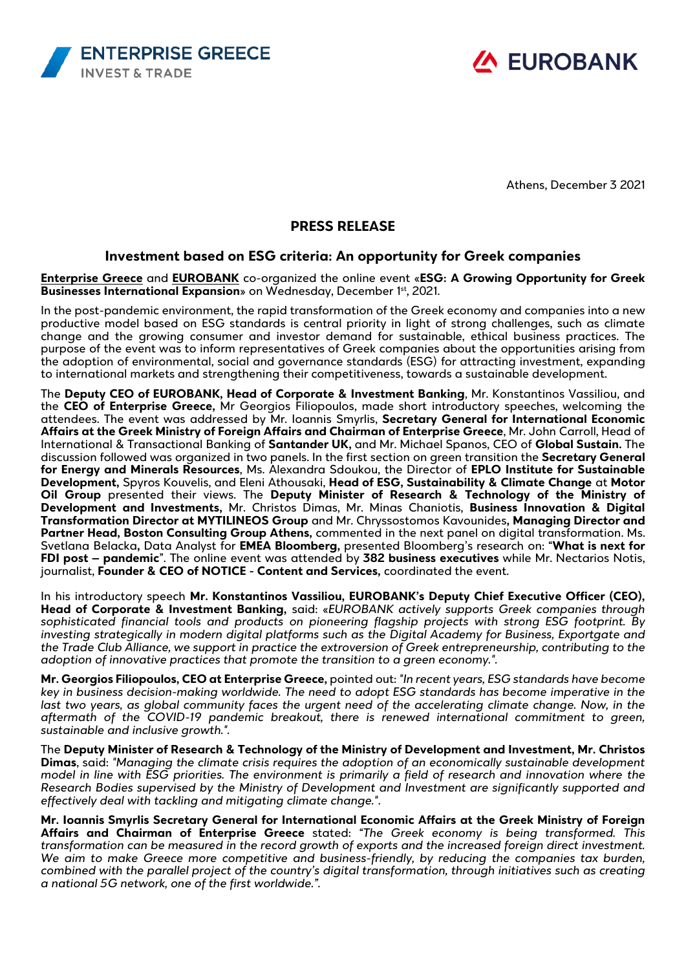



Athens, December 3 2021

## **PRESS RELEASE**

## **Investment based on ESG criteria: An opportunity for Greek companies**

**[Enterprise Greece](https://www.enterprisegreece.gov.gr/en/)** and **[EUROBANK](https://www.eurobank.gr/en/group)** co-organized the online event «**ESG: A Growing Opportunity for Greek Businesses International Expansion**» on Wednesday, December 1<sup>st</sup>, 2021.

In the post-pandemic environment, the rapid transformation of the Greek economy and companies into a new productive model based on ESG standards is central priority in light of strong challenges, such as climate change and the growing consumer and investor demand for sustainable, ethical business practices. The purpose of the event was to inform representatives of Greek companies about the opportunities arising from the adoption of environmental, social and governance standards (ESG) for attracting investment, expanding to international markets and strengthening their competitiveness, towards a sustainable development.

The **Deputy CEO of EUROBANK, Head of Corporate & Investment Banking**, Mr. Konstantinos Vassiliou, and the **CEO of Enterprise Greece,** Mr Georgios Filiopoulos, made short introductory speeches, welcoming the attendees. The event was addressed by Mr. Ioannis Smyrlis, **Secretary General for International Economic Affairs at the Greek Ministry of Foreign Affairs and Chairman of Enterprise Greece**, Mr. John Carroll, Head of International & Transactional Banking of **Santander UK,** and Mr. Michael Spanos, CEO of **Global Sustain.** The discussion followed was organized in two panels. In the first section on green transition the **Secretary General for Energy and Minerals Resources**, Ms. Alexandra Sdoukou, the Director of **EPLO Institute for Sustainable Development,** Spyros Kouvelis, and Eleni Athousaki, **Head of ESG, Sustainability & Climate Change** at **Motor Oil Group** presented their views. The **Deputy Minister of Research & Technology of the Ministry of Development and Investments,** Mr. Christos Dimas, Mr. Minas Chaniotis, **Business Innovation & Digital Transformation Director at MYTILINEOS Group** and Mr. Chryssostomos Kavounides**, Managing Director and Partner Head, Boston Consulting Group Athens,** commented in the next panel on digital transformation. Ms. Svetlana Belacka**,** Data Analyst for **EMEA Bloomberg,** presented Bloomberg's research on: "**What is next for FDI post – pandemic**". The online event was attended by **382 business executives** while Mr. Nectarios Notis, journalist, **Founder & CEO of NOTICE - Content and Services,** coordinated the event.

In his introductory speech **Mr. Konstantinos Vassiliou, EUROBANK's Deputy Chief Executive Officer (CEO), Head of Corporate & Investment Banking,** said: «*EUROBANK actively supports Greek companies through sophisticated financial tools and products on pioneering flagship projects with strong ESG footprint. By investing strategically in modern digital platforms such as the Digital Academy for Business, Exportgate and the Trade Club Alliance, we support in practice the extroversion of Greek entrepreneurship, contributing to the adoption of innovative practices that promote the transition to a green economy.".*

**Mr. Georgios Filiopoulos, CEO at Enterprise Greece,** pointed out: *"In recent years, ESG standards have become key in business decision-making worldwide. The need to adopt ESG standards has become imperative in the last two years, as global community faces the urgent need of the accelerating climate change. Now, in the aftermath of the COVID-19 pandemic breakout, there is renewed international commitment to green, sustainable and inclusive growth.".*

The **Deputy Minister of Research & Technology of the Ministry of Development and Investment, Mr. Christos Dimas**, said: *"Managing the climate crisis requires the adoption of an economically sustainable development model in line with ESG priorities. The environment is primarily a field of research and innovation where the Research Bodies supervised by the Ministry of Development and Investment are significantly supported and effectively deal with tackling and mitigating climate change."*.

**Mr. Ioannis Smyrlis Secretary General for International Economic Affairs at the Greek Ministry of Foreign Affairs and Chairman of Enterprise Greece** stated: *"The Greek economy is being transformed. This transformation can be measured in the record growth of exports and the increased foreign direct investment. We aim to make Greece more competitive and business-friendly, by reducing the companies tax burden, combined with the parallel project of the country's digital transformation, through initiatives such as creating a national 5G network, one of the first worldwide.".*